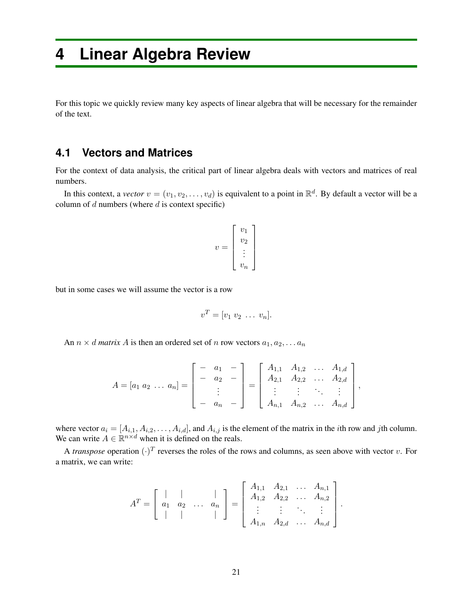# **4 Linear Algebra Review**

For this topic we quickly review many key aspects of linear algebra that will be necessary for the remainder of the text.

#### **4.1 Vectors and Matrices**

For the context of data analysis, the critical part of linear algebra deals with vectors and matrices of real numbers.

In this context, a *vector*  $v = (v_1, v_2, \dots, v_d)$  is equivalent to a point in  $\mathbb{R}^d$ . By default a vector will be a column of *d* numbers (where *d* is context specific)

$$
v = \left[ \begin{array}{c} v_1 \\ v_2 \\ \vdots \\ v_n \end{array} \right]
$$

but in some cases we will assume the vector is a row

$$
v^T = [v_1 \ v_2 \ \ldots \ v_n].
$$

An  $n \times d$  *matrix*  $A$  is then an ordered set of  $n$  row vectors  $a_1, a_2, \ldots a_n$ 

$$
A = [a_1 \ a_2 \ \ldots \ a_n] = \begin{bmatrix} - & a_1 & - \\ - & a_2 & - \\ & \vdots & \\ - & a_n & - \end{bmatrix} = \begin{bmatrix} A_{1,1} & A_{1,2} & \ldots & A_{1,d} \\ A_{2,1} & A_{2,2} & \ldots & A_{2,d} \\ \vdots & \vdots & \ddots & \vdots \\ A_{n,1} & A_{n,2} & \ldots & A_{n,d} \end{bmatrix},
$$

where vector  $a_i = [A_{i,1}, A_{i,2}, \ldots, A_{i,d}]$ , and  $A_{i,j}$  is the element of the matrix in the *i*th row and *j*th column. We can write  $A \in \mathbb{R}^{n \times d}$  when it is defined on the reals.

A *transpose* operation  $(\cdot)^T$  reverses the roles of the rows and columns, as seen above with vector *v*. For a matrix, we can write:

$$
A^{T} = \begin{bmatrix} | & | & & | \\ a_1 & a_2 & \dots & a_n \\ | & | & & | \end{bmatrix} = \begin{bmatrix} A_{1,1} & A_{2,1} & \dots & A_{n,1} \\ A_{1,2} & A_{2,2} & \dots & A_{n,2} \\ \vdots & \vdots & \ddots & \vdots \\ A_{1,n} & A_{2,d} & \dots & A_{n,d} \end{bmatrix}.
$$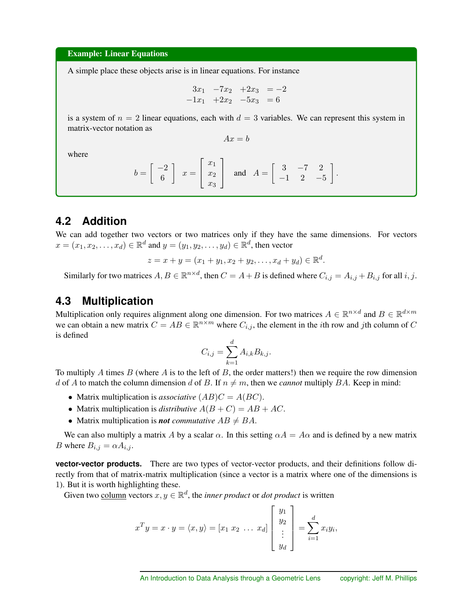#### Example: Linear Equations

A simple place these objects arise is in linear equations. For instance

$$
\begin{array}{rcl}\n3x_1 & -7x_2 & +2x_3 & = -2 \\
-1x_1 & +2x_2 & -5x_3 & = 6\n\end{array}
$$

is a system of  $n = 2$  linear equations, each with  $d = 3$  variables. We can represent this system in matrix-vector notation as

 $Ax = b$ 

where

$$
b = \begin{bmatrix} -2 \\ 6 \end{bmatrix} \quad x = \begin{bmatrix} x_1 \\ x_2 \\ x_3 \end{bmatrix} \quad \text{and} \quad A = \begin{bmatrix} 3 & -7 & 2 \\ -1 & 2 & -5 \end{bmatrix}.
$$

### **4.2 Addition**

We can add together two vectors or two matrices only if they have the same dimensions. For vectors  $x = (x_1, x_2, \ldots, x_d) \in \mathbb{R}^d$  and  $y = (y_1, y_2, \ldots, y_d) \in \mathbb{R}^d$ , then vector

$$
z = x + y = (x_1 + y_1, x_2 + y_2, \dots, x_d + y_d) \in \mathbb{R}^d.
$$

Similarly for two matrices  $A, B \in \mathbb{R}^{n \times d}$ , then  $C = A + B$  is defined where  $C_{i,j} = A_{i,j} + B_{i,j}$  for all  $i, j$ .

#### **4.3 Multiplication**

Multiplication only requires alignment along one dimension. For two matrices  $A \in \mathbb{R}^{n \times d}$  and  $B \in \mathbb{R}^{d \times m}$ we can obtain a new matrix  $C = AB \in \mathbb{R}^{n \times m}$  where  $C_{i,j}$ , the element in the *i*th row and *j*th column of *C* is defined

$$
C_{i,j} = \sum_{k=1}^{d} A_{i,k} B_{k,j}.
$$

To multiply *A* times *B* (where *A* is to the left of *B*, the order matters!) then we require the row dimension *d* of *A* to match the column dimension *d* of *B*. If  $n \neq m$ , then we *cannot* multiply *BA*. Keep in mind:

- Matrix multiplication is *associative*  $(AB)C = A(BC)$ .
- Matrix multiplication is *distributive*  $A(B+C) = AB + AC$ .
- Matrix multiplication is *not commutative*  $AB \neq BA$ .

We can also multiply a matrix *A* by a scalar  $\alpha$ . In this setting  $\alpha A = A\alpha$  and is defined by a new matrix *B* where  $B_{i,j} = \alpha A_{i,j}$ .

**vector-vector products.** There are two types of vector-vector products, and their definitions follow directly from that of matrix-matrix multiplication (since a vector is a matrix where one of the dimensions is 1). But it is worth highlighting these.

Given two column vectors  $x, y \in \mathbb{R}^d$ , the *inner product* or *dot product* is written

$$
x^T y = x \cdot y = \langle x, y \rangle = [x_1 \ x_2 \ \dots \ x_d] \begin{bmatrix} y_1 \\ y_2 \\ \vdots \\ y_d \end{bmatrix} = \sum_{i=1}^d x_i y_i,
$$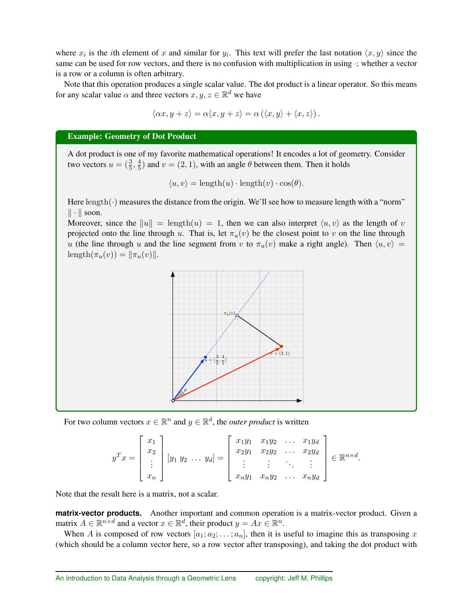where  $x_i$  is the *i*th element of x and similar for  $y_i$ . This text will prefer the last notation  $\langle x, y \rangle$  since the same can be used for row vectors, and there is no confusion with multiplication in using *·*; whether a vector is a row or a column is often arbitrary.

Note that this operation produces a single scalar value. The dot product is a linear operator. So this means for any scalar value  $\alpha$  and three vectors  $x, y, z \in \mathbb{R}^d$  we have

$$
\langle \alpha x, y + z \rangle = \alpha \langle x, y + z \rangle = \alpha \left( \langle x, y \rangle + \langle x, z \rangle \right).
$$

#### Example: Geometry of Dot Product

A dot product is one of my favorite mathematical operations! It encodes a lot of geometry. Consider two vectors  $u = (\frac{3}{5}, \frac{4}{5})$  and  $v = (2, 1)$ , with an angle  $\theta$  between them. Then it holds

$$
\langle u, v \rangle = \text{length}(u) \cdot \text{length}(v) \cdot \cos(\theta).
$$

Here length( $\cdot$ ) measures the distance from the origin. We'll see how to measure length with a "norm"  $\|\cdot\|$  soon.

Moreover, since the  $\|u\| = \text{length}(u) = 1$ , then we can also interpret  $\langle u, v \rangle$  as the length of *v* projected onto the line through *u*. That is, let  $\pi_u(v)$  be the closest point to *v* on the line through *u* (the line through *u* and the line segment from *v* to  $\pi_u(v)$  make a right angle). Then  $\langle u, v \rangle =$ length $(\pi_u(v)) = ||\pi_u(v)||.$ 



For two column vectors  $x \in \mathbb{R}^n$  and  $y \in \mathbb{R}^d$ , the *outer product* is written

$$
y^T x = \begin{bmatrix} x_1 \\ x_2 \\ \vdots \\ x_n \end{bmatrix} [y_1 \ y_2 \ \ldots \ y_d] = \begin{bmatrix} x_1 y_1 & x_1 y_2 & \ldots & x_1 y_d \\ x_2 y_1 & x_2 y_2 & \ldots & x_2 y_d \\ \vdots & \vdots & \ddots & \vdots \\ x_n y_1 & x_n y_2 & \ldots & x_n y_d \end{bmatrix} \in \mathbb{R}^{n \times d}.
$$

Note that the result here is a matrix, not a scalar.

**matrix-vector products.** Another important and common operation is a matrix-vector product. Given a matrix  $A \in \mathbb{R}^{n \times d}$  and a vector  $x \in \mathbb{R}^d$ , their product  $y = Ax \in \mathbb{R}^n$ .

When *A* is composed of row vectors  $[a_1; a_2; \ldots; a_n]$ , then it is useful to imagine this as transposing *x* (which should be a column vector here, so a row vector after transposing), and taking the dot product with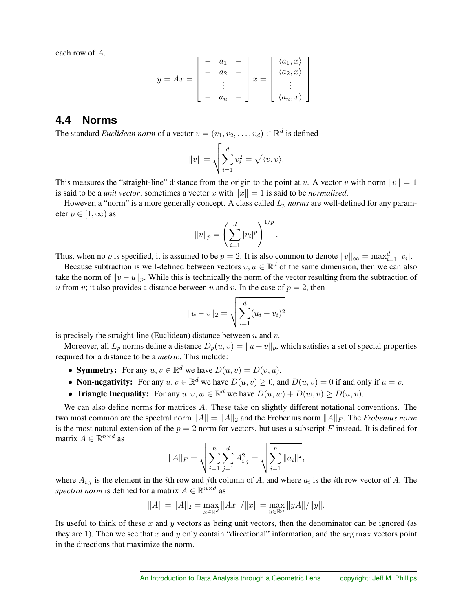each row of *A*.

$$
y = Ax = \begin{bmatrix} - & a_1 & - \\ - & a_2 & - \\ & \vdots & \\ - & a_n & - \end{bmatrix} x = \begin{bmatrix} \langle a_1, x \rangle \\ \langle a_2, x \rangle \\ \vdots \\ \langle a_n, x \rangle \end{bmatrix}.
$$

#### **4.4 Norms**

The standard *Euclidean norm* of a vector  $v = (v_1, v_2, \dots, v_d) \in \mathbb{R}^d$  is defined

$$
||v|| = \sqrt{\sum_{i=1}^d v_i^2} = \sqrt{\langle v, v \rangle}.
$$

This measures the "straight-line" distance from the origin to the point at *v*. A vector *v* with norm  $||v|| = 1$ is said to be a *unit vector*; sometimes a vector *x* with  $||x|| = 1$  is said to be *normalized*.

However, a "norm" is a more generally concept. A class called *L<sup>p</sup> norms* are well-defined for any parameter  $p \in [1, \infty)$  as

$$
||v||_p = \left(\sum_{i=1}^d |v_i|^p\right)^{1/p}
$$

*.*

Thus, when no *p* is specified, it is assumed to be  $p = 2$ . It is also common to denote  $||v||_{\infty} = \max_{i=1}^{d} |v_i|$ .

Because subtraction is well-defined between vectors  $v, u \in \mathbb{R}^d$  of the same dimension, then we can also take the norm of  $||v - u||_p$ . While this is technically the norm of the vector resulting from the subtraction of *u* from *v*; it also provides a distance between *u* and *v*. In the case of  $p = 2$ , then

$$
||u - v||_2 = \sqrt{\sum_{i=1}^d (u_i - v_i)^2}
$$

is precisely the straight-line (Euclidean) distance between *u* and *v*.

Moreover, all  $L_p$  norms define a distance  $D_p(u, v) = ||u - v||_p$ , which satisfies a set of special properties required for a distance to be a *metric*. This include:

- **Symmetry:** For any  $u, v \in \mathbb{R}^d$  we have  $D(u, v) = D(v, u)$ .
- **Non-negativity:** For any  $u, v \in \mathbb{R}^d$  we have  $D(u, v) \ge 0$ , and  $D(u, v) = 0$  if and only if  $u = v$ .
- **Triangle Inequality:** For any  $u, v, w \in \mathbb{R}^d$  we have  $D(u, w) + D(w, v) \ge D(u, v)$ .

We can also define norms for matrices *A*. These take on slightly different notational conventions. The two most common are the spectral norm  $||A|| = ||A||_2$  and the Frobenius norm  $||A||_F$ . The *Frobenius norm* is the most natural extension of the  $p = 2$  norm for vectors, but uses a subscript *F* instead. It is defined for matrix  $A \in \mathbb{R}^{n \times d}$  as

$$
||A||_F = \sqrt{\sum_{i=1}^n \sum_{j=1}^d A_{i,j}^2} = \sqrt{\sum_{i=1}^n ||a_i||^2},
$$

where  $A_{i,j}$  is the element in the *i*th row and *j*th column of *A*, and where  $a_i$  is the *i*th row vector of *A*. The *spectral norm* is defined for a matrix  $A \in \mathbb{R}^{n \times d}$  as

$$
||A|| = ||A||_2 = \max_{x \in \mathbb{R}^d} ||Ax|| / ||x|| = \max_{y \in \mathbb{R}^n} ||yA|| / ||y||.
$$

Its useful to think of these *x* and *y* vectors as being unit vectors, then the denominator can be ignored (as they are 1). Then we see that *x* and *y* only contain "directional" information, and the arg max vectors point in the directions that maximize the norm.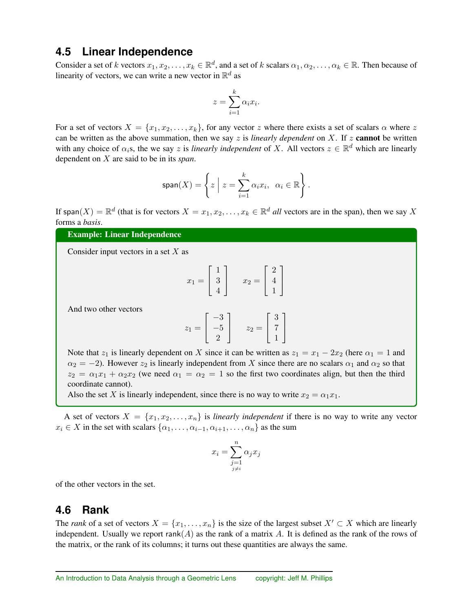### **4.5 Linear Independence**

Consider a set of *k* vectors  $x_1, x_2, \ldots, x_k \in \mathbb{R}^d$ , and a set of *k* scalars  $\alpha_1, \alpha_2, \ldots, \alpha_k \in \mathbb{R}$ . Then because of linearity of vectors, we can write a new vector in  $\mathbb{R}^d$  as

$$
z = \sum_{i=1}^{k} \alpha_i x_i.
$$

For a set of vectors  $X = \{x_1, x_2, \ldots, x_k\}$ , for any vector *z* where there exists a set of scalars  $\alpha$  where *z* can be written as the above summation, then we say *z* is *linearly dependent* on *X*. If *z* cannot be written with any choice of  $\alpha_i$ s, the we say *z* is *linearly independent* of *X*. All vectors  $z \in \mathbb{R}^d$  which are linearly dependent on *X* are said to be in its *span*.

$$
\text{span}(X) = \left\{ z \; \Big| \; z = \sum_{i=1}^k \alpha_i x_i, \; \; \alpha_i \in \mathbb{R} \right\}.
$$

If span(*X*) =  $\mathbb{R}^d$  (that is for vectors  $X = x_1, x_2, \ldots, x_k \in \mathbb{R}^d$  *all* vectors are in the span), then we say *X* forms a *basis*.

#### Example: Linear Independence

Consider input vectors in a set *X* as

$$
x_1 = \begin{bmatrix} 1 \\ 3 \\ 4 \end{bmatrix} \qquad x_2 = \begin{bmatrix} 2 \\ 4 \\ 1 \end{bmatrix}
$$

And two other vectors

$$
z_1 = \begin{bmatrix} -3 \\ -5 \\ 2 \end{bmatrix} \qquad z_2 = \begin{bmatrix} 3 \\ 7 \\ 1 \end{bmatrix}
$$

Note that  $z_1$  is linearly dependent on *X* since it can be written as  $z_1 = x_1 - 2x_2$  (here  $\alpha_1 = 1$  and  $\alpha_2 = -2$ ). However  $z_2$  is linearly independent from X since there are no scalars  $\alpha_1$  and  $\alpha_2$  so that  $z_2 = \alpha_1 x_1 + \alpha_2 x_2$  (we need  $\alpha_1 = \alpha_2 = 1$  so the first two coordinates align, but then the third coordinate cannot).

Also the set *X* is linearly independent, since there is no way to write  $x_2 = \alpha_1 x_1$ .

A set of vectors  $X = \{x_1, x_2, \ldots, x_n\}$  is *linearly independent* if there is no way to write any vector  $x_i \in X$  in the set with scalars  $\{\alpha_1, \ldots, \alpha_{i-1}, \alpha_{i+1}, \ldots, \alpha_n\}$  as the sum

$$
x_i = \sum_{\substack{j=1 \ j \neq i}}^n \alpha_j x_j
$$

of the other vectors in the set.

#### **4.6 Rank**

The *rank* of a set of vectors  $X = \{x_1, \ldots, x_n\}$  is the size of the largest subset  $X' \subset X$  which are linearly independent. Usually we report  $rank(A)$  as the rank of a matrix  $A$ . It is defined as the rank of the rows of the matrix, or the rank of its columns; it turns out these quantities are always the same.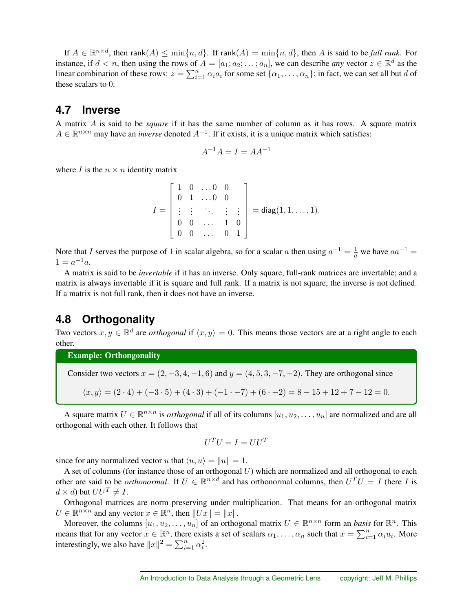If  $A \in \mathbb{R}^{n \times d}$ , then rank $(A) \le \min\{n, d\}$ . If rank $(A) = \min\{n, d\}$ , then *A* is said to be *full rank*. For instance, if  $d < n$ , then using the rows of  $A = [a_1; a_2; \dots; a_n]$ , we can describe *any* vector  $z \in \mathbb{R}^d$  as the linear combination of these rows:  $z = \sum_{i=1}^{n} \alpha_i a_i$  for some set  $\{\alpha_1, \dots, \alpha_n\}$ ; in fact, we can set all but *d* of these scalars to 0.

#### **4.7 Inverse**

A matrix *A* is said to be *square* if it has the same number of column as it has rows. A square matrix  $A \in \mathbb{R}^{n \times n}$  may have an *inverse* denoted  $A^{-1}$ . If it exists, it is a unique matrix which satisfies:

$$
A^{-1}A = I = AA^{-1}
$$

where *I* is the  $n \times n$  identity matrix

$$
I = \begin{bmatrix} 1 & 0 & \dots & 0 & 0 \\ 0 & 1 & \dots & 0 & 0 \\ \vdots & \vdots & \ddots & \vdots & \vdots \\ 0 & 0 & \dots & 1 & 0 \\ 0 & 0 & \dots & 0 & 1 \end{bmatrix} = diag(1, 1, \dots, 1).
$$

Note that *I* serves the purpose of 1 in scalar algebra, so for a scalar *a* then using  $a^{-1} = \frac{1}{a}$  we have  $aa^{-1} =$  $1 = a^{-1}a$ .

A matrix is said to be *invertable* if it has an inverse. Only square, full-rank matrices are invertable; and a matrix is always invertable if it is square and full rank. If a matrix is not square, the inverse is not defined. If a matrix is not full rank, then it does not have an inverse.

### **4.8 Orthogonality**

Two vectors  $x, y \in \mathbb{R}^d$  are *orthogonal* if  $\langle x, y \rangle = 0$ . This means those vectors are at a right angle to each other.

Example: Orthongonality

Consider two vectors  $x = (2, -3, 4, -1, 6)$  and  $y = (4, 5, 3, -7, -2)$ . They are orthogonal since

$$
\langle x, y \rangle = (2 \cdot 4) + (-3 \cdot 5) + (4 \cdot 3) + (-1 \cdot -7) + (6 \cdot -2) = 8 - 15 + 12 + 7 - 12 = 0.
$$

A square matrix  $U \in \mathbb{R}^{n \times n}$  is *orthogonal* if all of its columns  $[u_1, u_2, \dots, u_n]$  are normalized and are all orthogonal with each other. It follows that

$$
U^T U = I = U U^T
$$

since for any normalized vector *u* that  $\langle u, u \rangle = ||u|| = 1$ .

A set of columns (for instance those of an orthogonal *U*) which are normalized and all orthogonal to each other are said to be *orthonormal*. If  $U \in \mathbb{R}^{n \times d}$  and has orthonormal columns, then  $U^T U = I$  (here *I* is  $d \times d$ ) but  $UU^T \neq I$ .

Orthogonal matrices are norm preserving under multiplication. That means for an orthogonal matrix  $U \in \mathbb{R}^{n \times n}$  and any vector  $x \in \mathbb{R}^n$ , then  $||Ux|| = ||x||$ .

Moreover, the columns  $[u_1, u_2, \ldots, u_n]$  of an orthogonal matrix  $U \in \mathbb{R}^{n \times n}$  form an *basis* for  $\mathbb{R}^n$ . This means that for any vector  $x \in \mathbb{R}^n$ , there exists a set of scalars  $\alpha_1, \ldots, \alpha_n$  such that  $x = \sum_{i=1}^n \alpha_i u_i$ . More interestingly, we also have  $||x||^2 = \sum_{i=1}^n \alpha_i^2$ .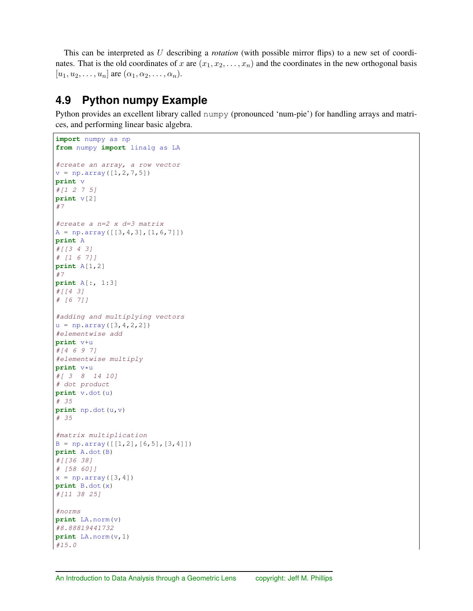This can be interpreted as *U* describing a *rotation* (with possible mirror flips) to a new set of coordinates. That is the old coordinates of *x* are  $(x_1, x_2, \ldots, x_n)$  and the coordinates in the new orthogonal basis  $[u_1, u_2, \ldots, u_n]$  are  $(\alpha_1, \alpha_2, \ldots, \alpha_n)$ .

## **4.9 Python numpy Example**

Python provides an excellent library called numpy (pronounced 'num-pie') for handling arrays and matrices, and performing linear basic algebra.

```
import numpy as np
from numpy import linalg as LA
#create an array, a row vector
v = np.array([1, 2, 7, 5])print v
#[1 2 7 5]
print v[2]
#7
#create a n=2 x d=3 matrix
A = np.array([[3, 4, 3], [1, 6, 7]])print A
#[[3 4 3]
# [1 6 7]]
print A[1,2]
#7
print A[:, 1:3]
#[[4 3]
# [6 7]]
#adding and multiplying vectors
u = np.array([3, 4, 2, 2])#elementwise add
print v+u
#[4 6 9 7]
#elementwise multiply
print v*u
#[ 3 8 14 10]
# dot product
print v.dot(u)
# 35
print np.dot(u,v)
# 35
#matrix multiplication
B = np.array([[1,2], [6,5], [3,4]])print A.dot(B)
#[[36 38]
# [58 60]]
x = np.array([3, 4])print B.dot(x)
#[11 38 25]
#norms
print LA.norm(v)
#8.88819441732
print LA.norm(v,1)
#15.0
```